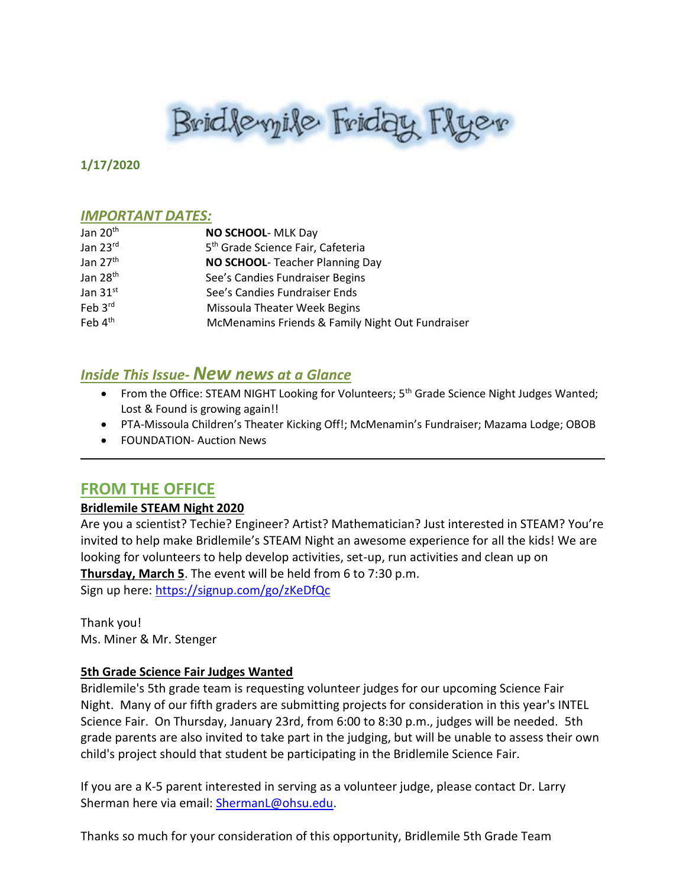# Brid levyile Friday Flyer

#### **1/17/2020**

#### *IMPORTANT DATES:*

| Jan 20 <sup>th</sup> | NO SCHOOL- MLK Day                               |
|----------------------|--------------------------------------------------|
| Jan 23rd             | 5 <sup>th</sup> Grade Science Fair, Cafeteria    |
| Jan 27 <sup>th</sup> | NO SCHOOL- Teacher Planning Day                  |
| Jan 28 <sup>th</sup> | See's Candies Fundraiser Begins                  |
| Jan $31^{st}$        | See's Candies Fundraiser Ends                    |
| Feb 3rd              | <b>Missoula Theater Week Begins</b>              |
| Feb 4 <sup>th</sup>  | McMenamins Friends & Family Night Out Fundraiser |

# *Inside This Issue- New news at a Glance*

- From the Office: STEAM NIGHT Looking for Volunteers; 5<sup>th</sup> Grade Science Night Judges Wanted; Lost & Found is growing again!!
- PTA-Missoula Children's Theater Kicking Off!; McMenamin's Fundraiser; Mazama Lodge; OBOB
- FOUNDATION- Auction News

# **FROM THE OFFICE**

#### **Bridlemile STEAM Night 2020**

Are you a scientist? Techie? Engineer? Artist? Mathematician? Just interested in STEAM? You're invited to help make Bridlemile's STEAM Night an awesome experience for all the kids! We are looking for volunteers to help develop activities, set-up, run activities and clean up on **Thursday, March 5**. The event will be held from 6 to 7:30 p.m. Sign up here:<https://signup.com/go/zKeDfQc>

Thank you! Ms. Miner & Mr. Stenger

#### **5th Grade Science Fair Judges Wanted**

Bridlemile's 5th grade team is requesting volunteer judges for our upcoming Science Fair Night. Many of our fifth graders are submitting projects for consideration in this year's INTEL Science Fair. On Thursday, January 23rd, from 6:00 to 8:30 p.m., judges will be needed. 5th grade parents are also invited to take part in the judging, but will be unable to assess their own child's project should that student be participating in the Bridlemile Science Fair.

If you are a K-5 parent interested in serving as a volunteer judge, please contact Dr. Larry Sherman here via email: [ShermanL@ohsu.edu.](mailto:ShermanL@ohsu.edu)

Thanks so much for your consideration of this opportunity, Bridlemile 5th Grade Team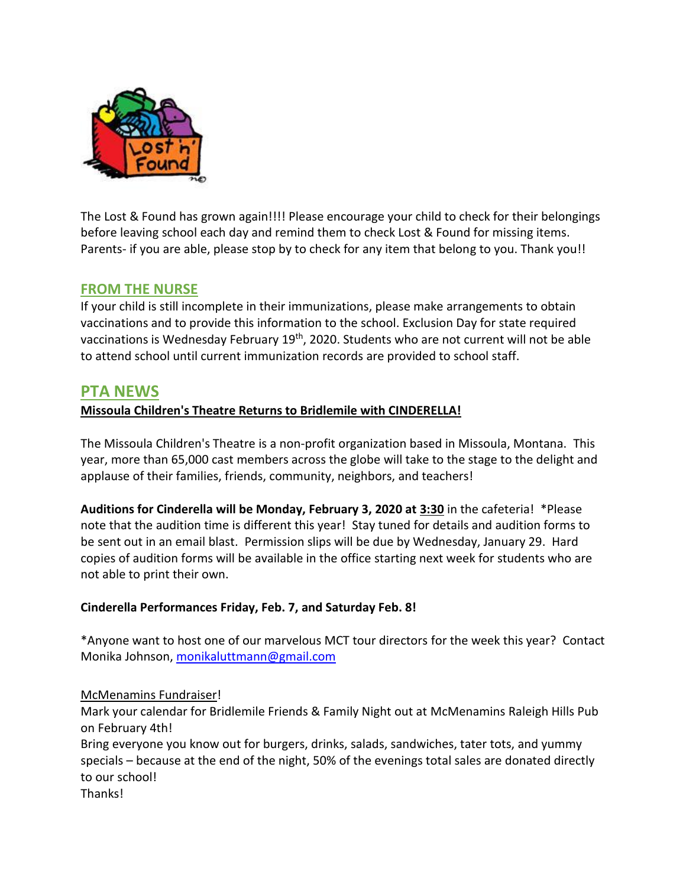

The Lost & Found has grown again!!!! Please encourage your child to check for their belongings before leaving school each day and remind them to check Lost & Found for missing items. Parents- if you are able, please stop by to check for any item that belong to you. Thank you!!

# **FROM THE NURSE**

If your child is still incomplete in their immunizations, please make arrangements to obtain vaccinations and to provide this information to the school. Exclusion Day for state required vaccinations is Wednesday February 19th, 2020. Students who are not current will not be able to attend school until current immunization records are provided to school staff.

# **PTA NEWS**

#### **Missoula Children's Theatre Returns to Bridlemile with CINDERELLA!**

The Missoula Children's Theatre is a non-profit organization based in Missoula, Montana. This year, more than 65,000 cast members across the globe will take to the stage to the delight and applause of their families, friends, community, neighbors, and teachers!

**Auditions for Cinderella will be Monday, February 3, 2020 at 3:30** in the cafeteria! \*Please note that the audition time is different this year! Stay tuned for details and audition forms to be sent out in an email blast. Permission slips will be due by Wednesday, January 29. Hard copies of audition forms will be available in the office starting next week for students who are not able to print their own.

#### **Cinderella Performances Friday, Feb. 7, and Saturday Feb. 8!**

\*Anyone want to host one of our marvelous MCT tour directors for the week this year? Contact Monika Johnson, [monikaluttmann@gmail.com](mailto:monikaluttmann@gmail.com)

#### McMenamins Fundraiser!

Mark your calendar for Bridlemile Friends & Family Night out at McMenamins Raleigh Hills Pub on February 4th!

Bring everyone you know out for burgers, drinks, salads, sandwiches, tater tots, and yummy specials – because at the end of the night, 50% of the evenings total sales are donated directly to our school! Thanks!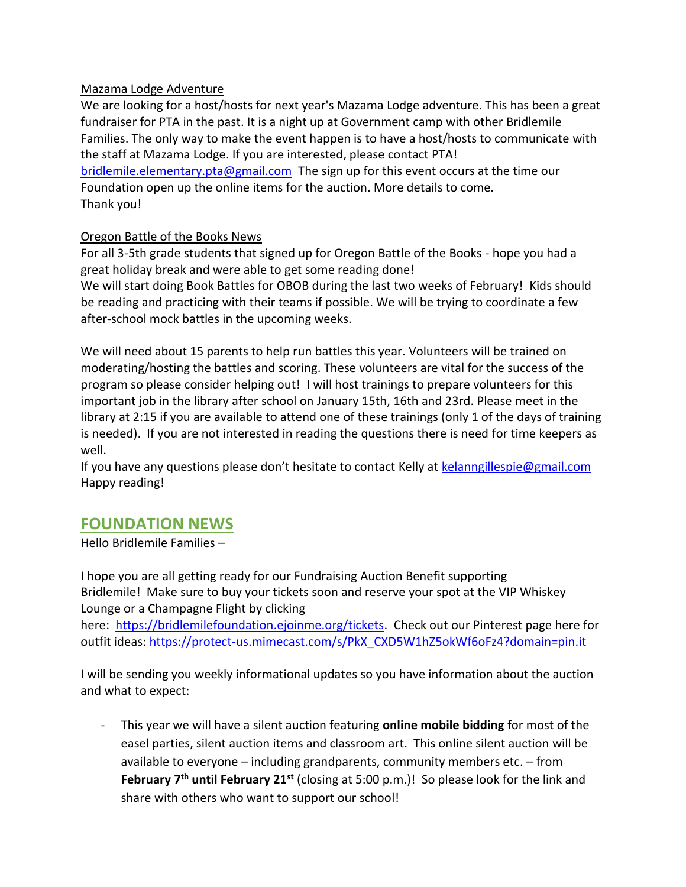#### Mazama Lodge Adventure

We are looking for a host/hosts for next year's Mazama Lodge adventure. This has been a great fundraiser for PTA in the past. It is a night up at Government camp with other Bridlemile Families. The only way to make the event happen is to have a host/hosts to communicate with the staff at Mazama Lodge. If you are interested, please contact PTA! [bridlemile.elementary.pta@gmail.com](mailto:bridlemile.elementary.pta@gmail.com) The sign up for this event occurs at the time our Foundation open up the online items for the auction. More details to come. Thank you!

#### Oregon Battle of the Books News

For all 3-5th grade students that signed up for Oregon Battle of the Books - hope you had a great holiday break and were able to get some reading done!

We will start doing Book Battles for OBOB during the last two weeks of February! Kids should be reading and practicing with their teams if possible. We will be trying to coordinate a few after-school mock battles in the upcoming weeks.

We will need about 15 parents to help run battles this year. Volunteers will be trained on moderating/hosting the battles and scoring. These volunteers are vital for the success of the program so please consider helping out! I will host trainings to prepare volunteers for this important job in the library after school on January 15th, 16th and 23rd. Please meet in the library at 2:15 if you are available to attend one of these trainings (only 1 of the days of training is needed). If you are not interested in reading the questions there is need for time keepers as well.

If you have any questions please don't hesitate to contact Kelly at [kelanngillespie@gmail.com](mailto:kelanngillespie@gmail.com) Happy reading!

# **FOUNDATION NEWS**

Hello Bridlemile Families –

I hope you are all getting ready for our Fundraising Auction Benefit supporting Bridlemile! Make sure to buy your tickets soon and reserve your spot at the VIP Whiskey Lounge or a Champagne Flight by clicking

here: [https://bridlemilefoundation.ejoinme.org/tickets.](https://bridlemilefoundation.ejoinme.org/tickets) Check out our Pinterest page here for outfit ideas: [https://protect-us.mimecast.com/s/PkX\\_CXD5W1hZ5okWf6oFz4?domain=pin.it](https://pin.it/222xtib7x2vjzc)

I will be sending you weekly informational updates so you have information about the auction and what to expect:

- This year we will have a silent auction featuring **online mobile bidding** for most of the easel parties, silent auction items and classroom art. This online silent auction will be available to everyone – including grandparents, community members etc. – from **February 7th until February 21st** (closing at 5:00 p.m.)! So please look for the link and share with others who want to support our school!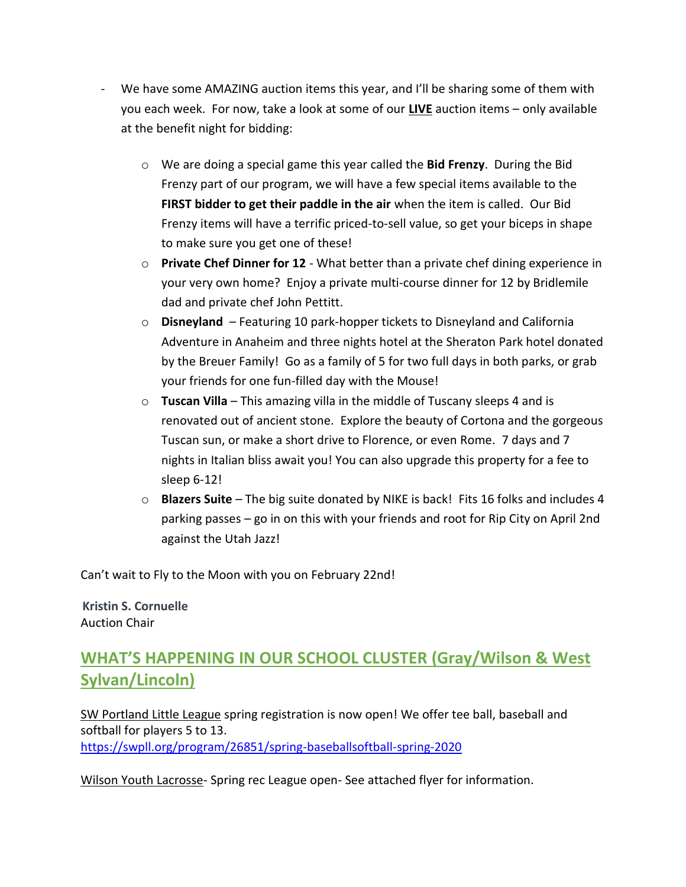- We have some AMAZING auction items this year, and I'll be sharing some of them with you each week. For now, take a look at some of our **LIVE** auction items – only available at the benefit night for bidding:
	- o We are doing a special game this year called the **Bid Frenzy**. During the Bid Frenzy part of our program, we will have a few special items available to the **FIRST bidder to get their paddle in the air** when the item is called. Our Bid Frenzy items will have a terrific priced-to-sell value, so get your biceps in shape to make sure you get one of these!
	- o **Private Chef Dinner for 12** What better than a private chef dining experience in your very own home? Enjoy a private multi-course dinner for 12 by Bridlemile dad and private chef John Pettitt.
	- o **Disneyland**  Featuring 10 park-hopper tickets to Disneyland and California Adventure in Anaheim and three nights hotel at the Sheraton Park hotel donated by the Breuer Family! Go as a family of 5 for two full days in both parks, or grab your friends for one fun-filled day with the Mouse!
	- o **Tuscan Villa** This amazing villa in the middle of Tuscany sleeps 4 and is renovated out of ancient stone. Explore the beauty of Cortona and the gorgeous Tuscan sun, or make a short drive to Florence, or even Rome. 7 days and 7 nights in Italian bliss await you! You can also upgrade this property for a fee to sleep 6-12!
	- o **Blazers Suite** The big suite donated by NIKE is back! Fits 16 folks and includes 4 parking passes – go in on this with your friends and root for Rip City on April 2nd against the Utah Jazz!

Can't wait to Fly to the Moon with you on February 22nd!

**[Kristin S. Cornuelle](http://www.orrick.com/Lawyers/Kristin-Cornuelle/Pages/)** Auction Chair

# **WHAT'S HAPPENING IN OUR SCHOOL CLUSTER (Gray/Wilson & West Sylvan/Lincoln)**

SW Portland Little League spring registration is now open! We offer tee ball, baseball and softball for players 5 to 13. <https://swpll.org/program/26851/spring-baseballsoftball-spring-2020>

Wilson Youth Lacrosse- Spring rec League open- See attached flyer for information.